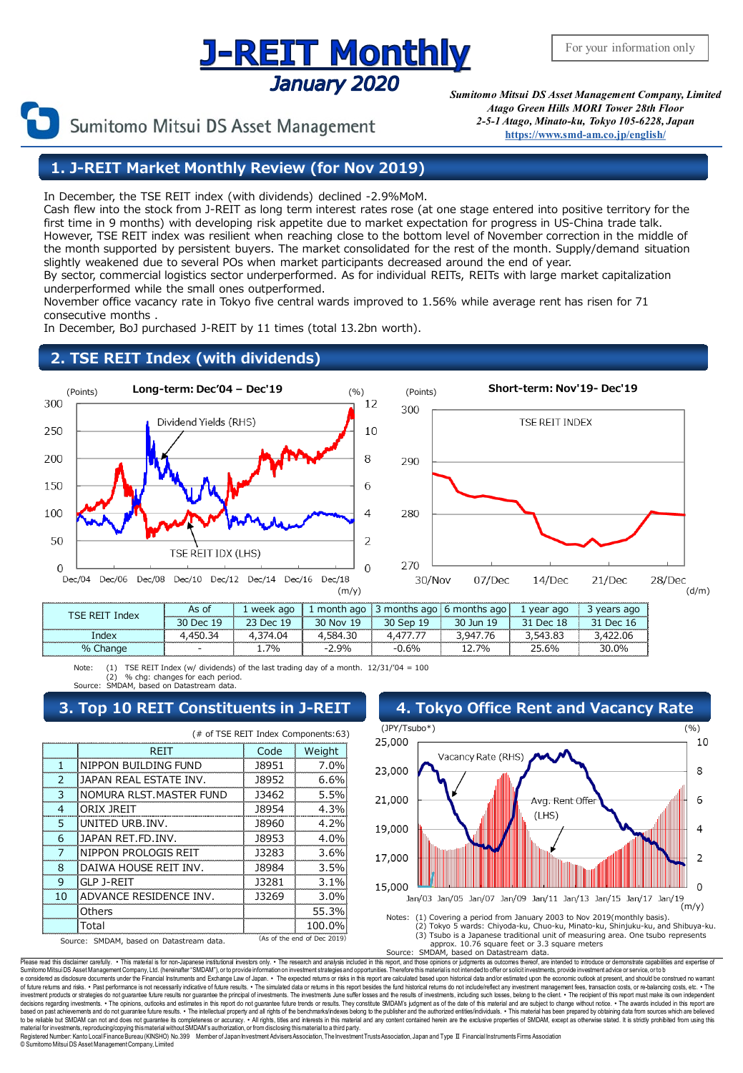# **J-REIT Monthly** January 2020

Sumitomo Mitsui DS Asset Management

*Sumitomo Mitsui DS Asset Management Company, Limited Atago Green Hills MORI Tower 28th Floor 2-5-1 Atago, Minato-ku, Tokyo 105-6228, Japan* **[https://www.smd-am.co.jp/english/](http://www.smam-jp.com/english/)**

## **1. J-REIT Market Monthly Review (for Nov 2019)**

In December, the TSE REIT index (with dividends) declined -2.9%MoM.

Cash flew into the stock from J-REIT as long term interest rates rose (at one stage entered into positive territory for the first time in 9 months) with developing risk appetite due to market expectation for progress in US-China trade talk. However, TSE REIT index was resilient when reaching close to the bottom level of November correction in the middle of the month supported by persistent buyers. The market consolidated for the rest of the month. Supply/demand situation slightly weakened due to several POs when market participants decreased around the end of year. By sector, commercial logistics sector underperformed. As for individual REITs, REITs with large market capitalization underperformed while the small ones outperformed.

November office vacancy rate in Tokyo five central wards improved to 1.56% while average rent has risen for 71 consecutive months .

In December, BoJ purchased J-REIT by 11 times (total 13.2bn worth).

## **2. TSE REIT Index (with dividends)**



- | 1.7% | -2.9% | -0.6% | 12.7% | 25.6% | 30.0%

Note: (1) TSE REIT Index (w/ dividends) of the last trading day of a month.  $12/31/04 = 100$ (2) % chg: changes for each period. SMDAM, based on Datastream data.

% Change

| (# of TSE REIT Index Components:63)                                     |                         |       |         |  |  |  |  |
|-------------------------------------------------------------------------|-------------------------|-------|---------|--|--|--|--|
|                                                                         | REIT                    | Code  | Weight  |  |  |  |  |
| ı                                                                       | NIPPON BUILDING FUND    | 18951 | 7.0%    |  |  |  |  |
| $\mathcal{P}$                                                           | JAPAN REAL ESTATE INV.  | 18952 | 6.6%    |  |  |  |  |
| 3                                                                       | NOMURA RLST.MASTER FUND | 13462 | 5.5%    |  |  |  |  |
| 4                                                                       | ORIX JREIT              | 18954 | 4.3%    |  |  |  |  |
| 5                                                                       | UNITED URB. INV.        | 18960 | 4.2%    |  |  |  |  |
| 6                                                                       | JAPAN RET.FD.INV.       | 18953 | 4.0%    |  |  |  |  |
|                                                                         | NIPPON PROLOGIS REIT    | 13283 | 3.6%    |  |  |  |  |
| 8                                                                       | DAIWA HOUSE REIT INV.   | 18984 | 3.5%    |  |  |  |  |
| 9                                                                       | GLP J-REIT              | 13281 | $3.1\%$ |  |  |  |  |
| 10                                                                      | ADVANCE RESIDENCE INV.  | 13269 | 3.0%    |  |  |  |  |
|                                                                         | Others                  |       | 55.3%   |  |  |  |  |
|                                                                         | Total                   |       | 100.0%  |  |  |  |  |
| (As of the end of Dec 2019)<br>Source: SMDAM, based on Datastream data. |                         |       |         |  |  |  |  |



approx. 10.76 square feet or 3.3 square meters Source: SMDAM, based on Datastream data.

Please read this disclaimer carefully. • This material is for non-Japanese institutional investors only. • The research and analysis included in this report, and those opinions or judgments as outcomes thereof, are intende e considered as disdosure documents under the Financial Instruments and Exchange Law of Japan. • The expected returns or risks in this report are calculated based upon historical data and/or estimated upon the economic out decisions regarding investments. • The opinions, outlooks and estimates in this report do not guarantee future trends or results. They constitute SMDAM's judgment as of the date of this material and are subject to change Registered Number: Kanto LocalFinance Bureau (KINSHO) No.399 Member of Japan Investment Advisers Association, The Investment Trusts Association, Japan and Type Ⅱ Financial Instruments Firms Association

© SumitomoMitsui DS AssetManagementCompany, Limited